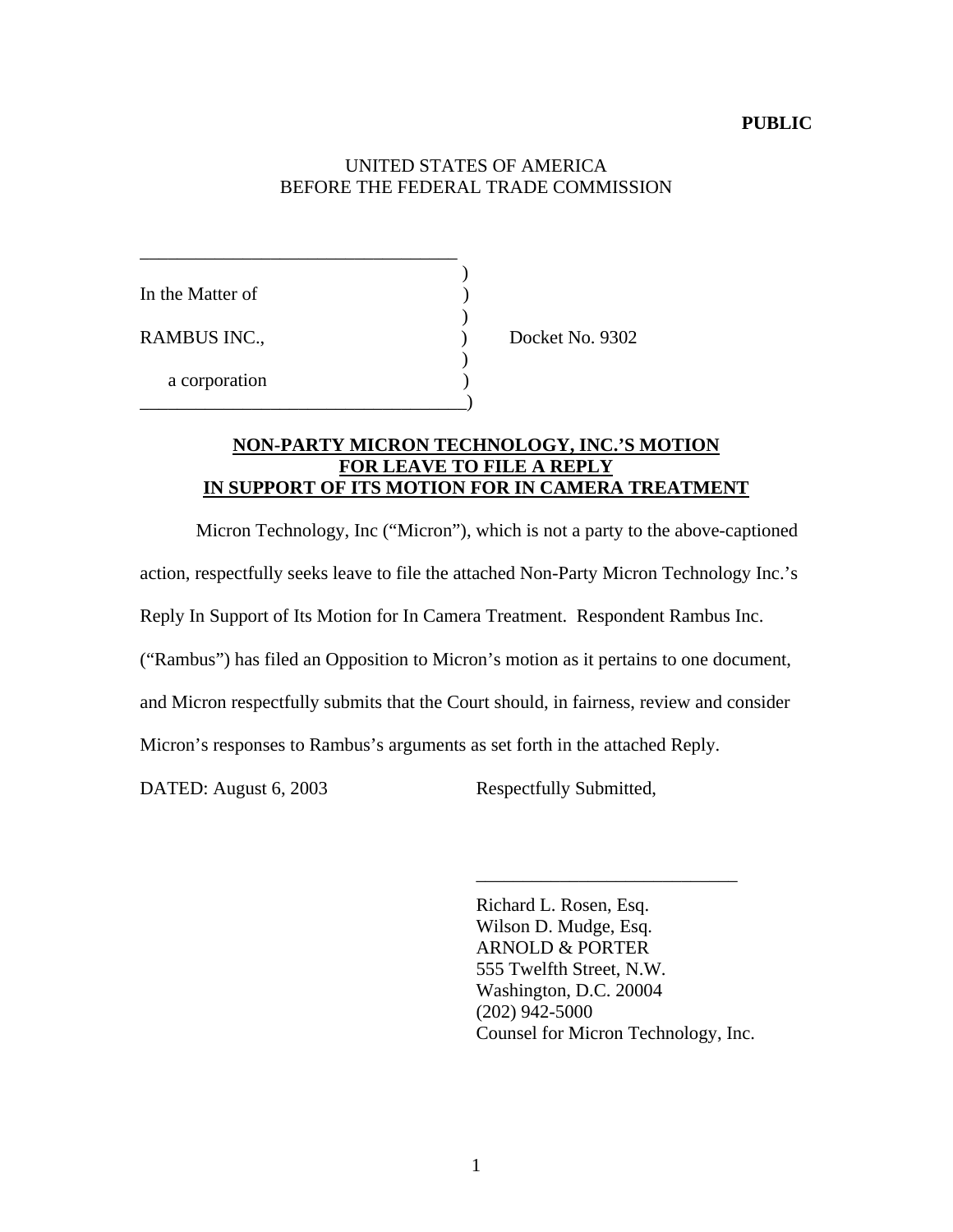#### **PUBLIC**

# UNITED STATES OF AMERICA BEFORE THE FEDERAL TRADE COMMISSION

| In the Matter of |  |
|------------------|--|
|                  |  |
| RAMBUS INC.,     |  |
|                  |  |
| a corporation    |  |
|                  |  |

\_\_\_\_\_\_\_\_\_\_\_\_\_\_\_\_\_\_\_\_\_\_\_\_\_\_\_\_\_\_\_\_\_\_

Docket No. 9302

# **NON-PARTY MICRON TECHNOLOGY, INC.'S MOTION FOR LEAVE TO FILE A REPLY IN SUPPORT OF ITS MOTION FOR IN CAMERA TREATMENT**

Micron Technology, Inc ("Micron"), which is not a party to the above-captioned action, respectfully seeks leave to file the attached Non-Party Micron Technology Inc.'s Reply In Support of Its Motion for In Camera Treatment. Respondent Rambus Inc. ("Rambus") has filed an Opposition to Micron's motion as it pertains to one document,

and Micron respectfully submits that the Court should, in fairness, review and consider

Micron's responses to Rambus's arguments as set forth in the attached Reply.

DATED: August 6, 2003 Respectfully Submitted,

Richard L. Rosen, Esq. Wilson D. Mudge, Esq. ARNOLD & PORTER 555 Twelfth Street, N.W. Washington, D.C. 20004 (202) 942-5000 Counsel for Micron Technology, Inc.

\_\_\_\_\_\_\_\_\_\_\_\_\_\_\_\_\_\_\_\_\_\_\_\_\_\_\_\_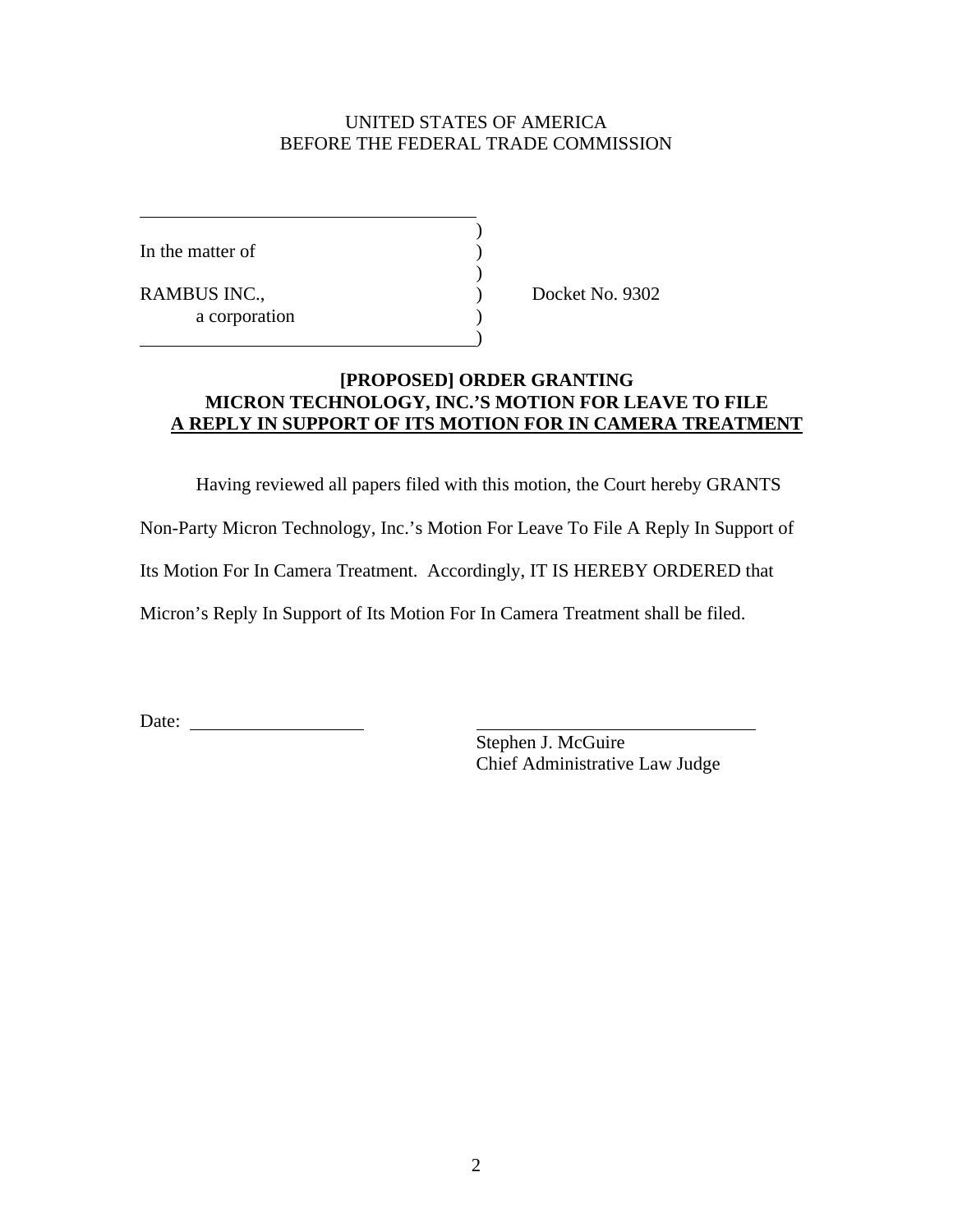# UNITED STATES OF AMERICA BEFORE THE FEDERAL TRADE COMMISSION

)

)

)

In the matter of  $\qquad \qquad$  )

RAMBUS INC., Docket No. 9302 a corporation (a)

## **[PROPOSED] ORDER GRANTING MICRON TECHNOLOGY, INC.'S MOTION FOR LEAVE TO FILE A REPLY IN SUPPORT OF ITS MOTION FOR IN CAMERA TREATMENT**

Having reviewed all papers filed with this motion, the Court hereby GRANTS

Non-Party Micron Technology, Inc.'s Motion For Leave To File A Reply In Support of

Its Motion For In Camera Treatment. Accordingly, IT IS HEREBY ORDERED that

Micron's Reply In Support of Its Motion For In Camera Treatment shall be filed.

Date:

Stephen J. McGuire Chief Administrative Law Judge